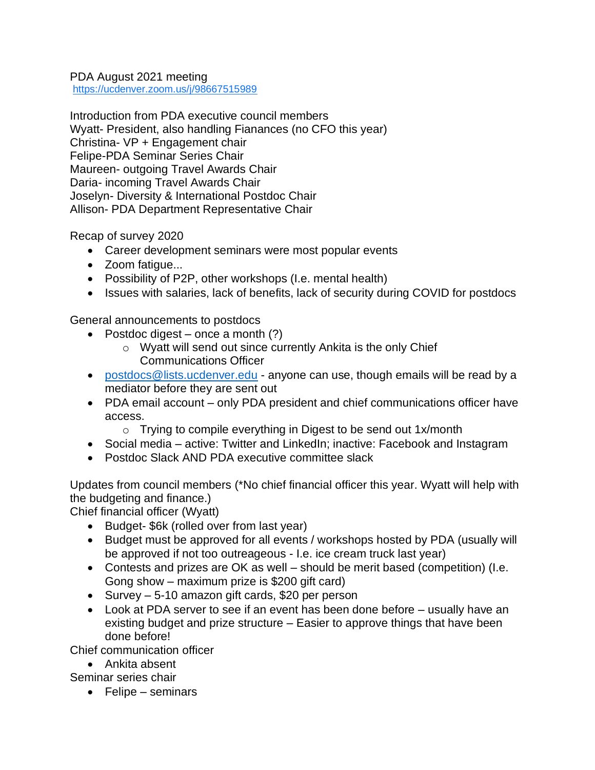## PDA August 2021 meeting <https://ucdenver.zoom.us/j/98667515989>

Introduction from PDA executive council members Wyatt- President, also handling Fianances (no CFO this year) Christina- VP + Engagement chair Felipe-PDA Seminar Series Chair Maureen- outgoing Travel Awards Chair Daria- incoming Travel Awards Chair Joselyn- Diversity & International Postdoc Chair Allison- PDA Department Representative Chair

Recap of survey 2020

- Career development seminars were most popular events
- Zoom fatigue...
- Possibility of P2P, other workshops (I.e. mental health)
- Issues with salaries, lack of benefits, lack of security during COVID for postdocs

General announcements to postdocs

- Postdoc digest once a month  $(?)$ 
	- o Wyatt will send out since currently Ankita is the only Chief Communications Officer
- [postdocs@lists.ucdenver.edu](mailto:postdocs@lists.ucdenver.edu) anyone can use, though emails will be read by a mediator before they are sent out
- PDA email account only PDA president and chief communications officer have access.
	- $\circ$  Trying to compile everything in Digest to be send out 1x/month
- Social media active: Twitter and LinkedIn; inactive: Facebook and Instagram
- Postdoc Slack AND PDA executive committee slack

Updates from council members (\*No chief financial officer this year. Wyatt will help with the budgeting and finance.)

Chief financial officer (Wyatt)

- Budget- \$6k (rolled over from last year)
- Budget must be approved for all events / workshops hosted by PDA (usually will be approved if not too outreageous - I.e. ice cream truck last year)
- Contests and prizes are OK as well should be merit based (competition) (I.e. Gong show – maximum prize is \$200 gift card)
- Survey 5-10 amazon gift cards, \$20 per person
- Look at PDA server to see if an event has been done before usually have an existing budget and prize structure – Easier to approve things that have been done before!

Chief communication officer

• Ankita absent

Seminar series chair

• Felipe – seminars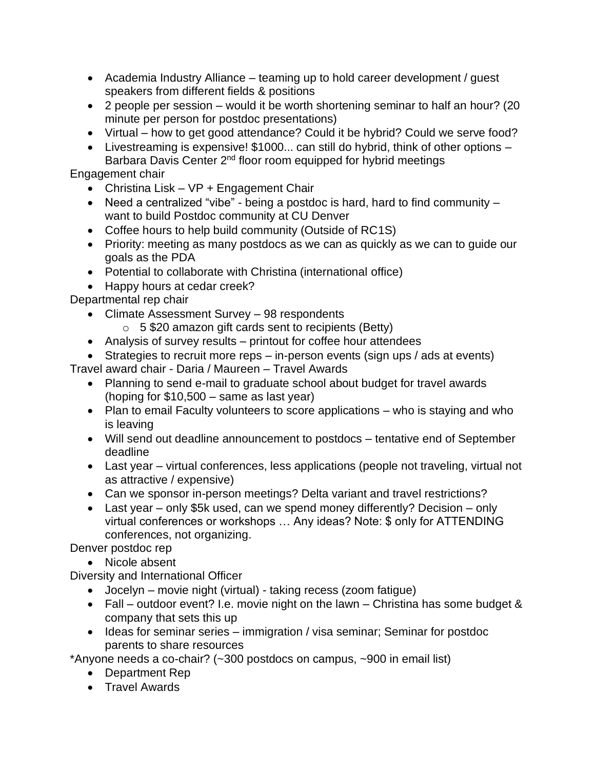- Academia Industry Alliance teaming up to hold career development / guest speakers from different fields & positions
- 2 people per session would it be worth shortening seminar to half an hour? (20 minute per person for postdoc presentations)
- Virtual how to get good attendance? Could it be hybrid? Could we serve food?
- Livestreaming is expensive! \$1000... can still do hybrid, think of other options Barbara Davis Center 2<sup>nd</sup> floor room equipped for hybrid meetings

Engagement chair

- Christina Lisk VP + Engagement Chair
- Need a centralized "vibe" being a postdoc is hard, hard to find community want to build Postdoc community at CU Denver
- Coffee hours to help build community (Outside of RC1S)
- Priority: meeting as many postdocs as we can as quickly as we can to guide our goals as the PDA
- Potential to collaborate with Christina (international office)
- Happy hours at cedar creek?

Departmental rep chair

- Climate Assessment Survey 98 respondents
	- $\circ$  5 \$20 amazon gift cards sent to recipients (Betty)
- Analysis of survey results printout for coffee hour attendees
- Strategies to recruit more reps in-person events (sign ups / ads at events)

Travel award chair - Daria / Maureen – Travel Awards

- Planning to send e-mail to graduate school about budget for travel awards (hoping for \$10,500 – same as last year)
- Plan to email Faculty volunteers to score applications who is staying and who is leaving
- Will send out deadline announcement to postdocs tentative end of September deadline
- Last year virtual conferences, less applications (people not traveling, virtual not as attractive / expensive)
- Can we sponsor in-person meetings? Delta variant and travel restrictions?
- Last year only \$5k used, can we spend money differently? Decision only virtual conferences or workshops … Any ideas? Note: \$ only for ATTENDING conferences, not organizing.

Denver postdoc rep

• Nicole absent

Diversity and International Officer

- Jocelyn movie night (virtual) taking recess (zoom fatigue)
- Fall outdoor event? I.e. movie night on the lawn Christina has some budget & company that sets this up
- Ideas for seminar series immigration / visa seminar; Seminar for postdoc parents to share resources

\*Anyone needs a co-chair? (~300 postdocs on campus, ~900 in email list)

- Department Rep
- Travel Awards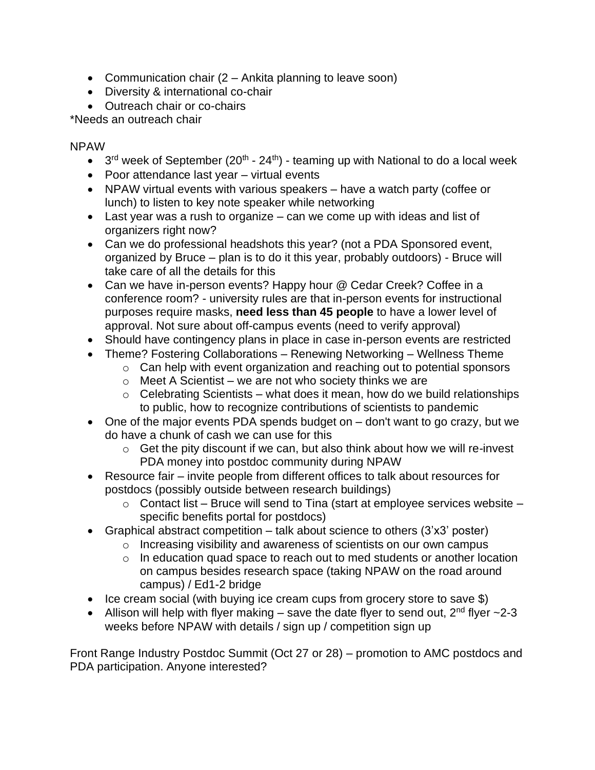- Communication chair (2 Ankita planning to leave soon)
- Diversity & international co-chair
- Outreach chair or co-chairs

\*Needs an outreach chair

NPAW

- $3<sup>rd</sup>$  week of September (20<sup>th</sup> 24<sup>th</sup>) teaming up with National to do a local week
- Poor attendance last year virtual events
- NPAW virtual events with various speakers have a watch party (coffee or lunch) to listen to key note speaker while networking
- Last year was a rush to organize can we come up with ideas and list of organizers right now?
- Can we do professional headshots this year? (not a PDA Sponsored event, organized by Bruce – plan is to do it this year, probably outdoors) - Bruce will take care of all the details for this
- Can we have in-person events? Happy hour @ Cedar Creek? Coffee in a conference room? - university rules are that in-person events for instructional purposes require masks, **need less than 45 people** to have a lower level of approval. Not sure about off-campus events (need to verify approval)
- Should have contingency plans in place in case in-person events are restricted
- Theme? Fostering Collaborations Renewing Networking Wellness Theme
	- o Can help with event organization and reaching out to potential sponsors
	- $\circ$  Meet A Scientist we are not who society thinks we are
	- $\circ$  Celebrating Scientists what does it mean, how do we build relationships to public, how to recognize contributions of scientists to pandemic
- One of the major events PDA spends budget on don't want to go crazy, but we do have a chunk of cash we can use for this
	- $\circ$  Get the pity discount if we can, but also think about how we will re-invest PDA money into postdoc community during NPAW
- Resource fair invite people from different offices to talk about resources for postdocs (possibly outside between research buildings)
	- $\circ$  Contact list Bruce will send to Tina (start at employee services website specific benefits portal for postdocs)
- Graphical abstract competition talk about science to others (3'x3' poster)
	- o Increasing visibility and awareness of scientists on our own campus
	- o In education quad space to reach out to med students or another location on campus besides research space (taking NPAW on the road around campus) / Ed1-2 bridge
- Ice cream social (with buying ice cream cups from grocery store to save \$)
- Allison will help with flyer making save the date flyer to send out,  $2^{nd}$  flyer  $\sim$ 2-3 weeks before NPAW with details / sign up / competition sign up

Front Range Industry Postdoc Summit (Oct 27 or 28) – promotion to AMC postdocs and PDA participation. Anyone interested?